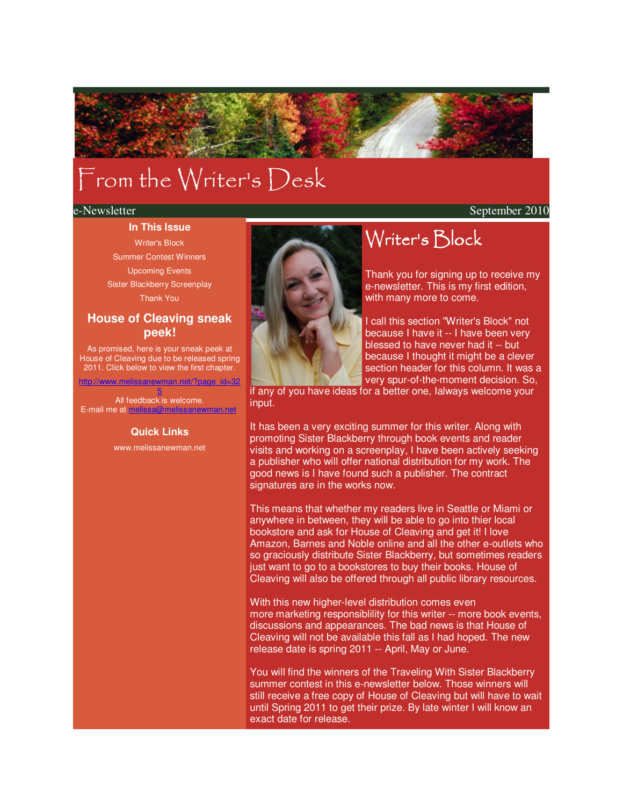# From the Writer's Desk

e-Newsletter September 2010

### **In This Issue**

Writer's Block Summer Contest Winners Upcoming Events Sister Blackberry Screenplay

Thank You

### **House of Cleaving sneak peek!**

As promised, here is your sneak peek at House of Cleaving due to be released spring 2011. Click below to view the first chapter.

http://www.melissanewman.net/?page\_id=32 5

All feedback is welcome. E-mail me at melissa@melissanewman.net

#### **Quick Links**

www.melissanewman.net



# Writer's Block

Thank you for signing up to receive my e-newsletter. This is my first edition, with many more to come.

I call this section "Writer's Block" not because I have it -- I have been very blessed to have never had it -- but because I thought it might be a clever section header for this column. It was a very spur-of-the-moment decision. So,

if any of you have ideas for a better one, Ialways welcome your input.

It has been a very exciting summer for this writer. Along with promoting Sister Blackberry through book events and reader visits and working on a screenplay, I have been actively seeking a publisher who will offer national distribution for my work. The good news is I have found such a publisher. The contract signatures are in the works now.

This means that whether my readers live in Seattle or Miami or anywhere in between, they will be able to go into thier local bookstore and ask for House of Cleaving and get it! I love Amazon, Barnes and Noble online and all the other e-outlets who so graciously distribute Sister Blackberry, but sometimes readers just want to go to a bookstores to buy their books. House of Cleaving will also be offered through all public library resources.

With this new higher-level distribution comes even more marketing responsiblility for this writer -- more book events, discussions and appearances. The bad news is that House of Cleaving will not be available this fall as I had hoped. The new release date is spring 2011 -- April, May or June.

You will find the winners of the Traveling With Sister Blackberry summer contest in this e-newsletter below. Those winners will still receive a free copy of House of Cleaving but will have to wait until Spring 2011 to get their prize. By late winter I will know an exact date for release.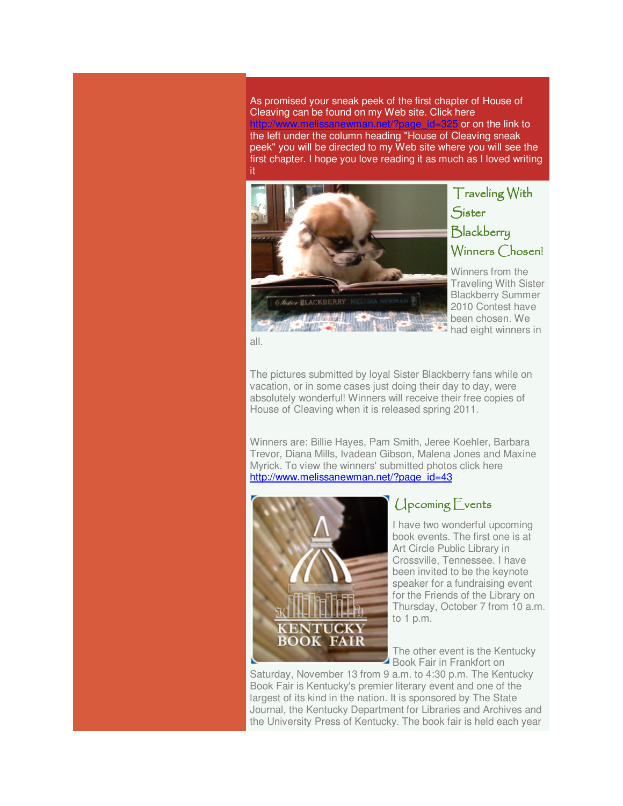As promised your sneak peek of the first chapter of House of Cleaving can be found on my Web site. Click here or on the link to the left under the column heading "House of Cleaving sneak peek" you will be directed to my Web site where you will see the first chapter. I hope you love reading it as much as I loved writing it



Traveling With **Sister Blackberry** Winners Chosen!

Winners from the Traveling With Sister Blackberry Summer 2010 Contest have been chosen. We had eight winners in

all.

The pictures submitted by loyal Sister Blackberry fans while on vacation, or in some cases just doing their day to day, were absolutely wonderful! Winners will receive their free copies of House of Cleaving when it is released spring 2011.

Winners are: Billie Hayes, Pam Smith, Jeree Koehler, Barbara Trevor, Diana Mills, Ivadean Gibson, Malena Jones and Maxine Myrick. To view the winners' submitted photos click here http://www.melissanewman.net/?page\_id=43



# Upcoming Events

I have two wonderful upcoming book events. The first one is at Art Circle Public Library in Crossville, Tennessee. I have been invited to be the keynote speaker for a fundraising event for the Friends of the Library on Thursday, October 7 from 10 a.m. to 1 p.m.

The other event is the Kentucky Book Fair in Frankfort on

Saturday, November 13 from 9 a.m. to 4:30 p.m. The Kentucky Book Fair is Kentucky's premier literary event and one of the largest of its kind in the nation. It is sponsored by The State Journal, the Kentucky Department for Libraries and Archives and the University Press of Kentucky. The book fair is held each year